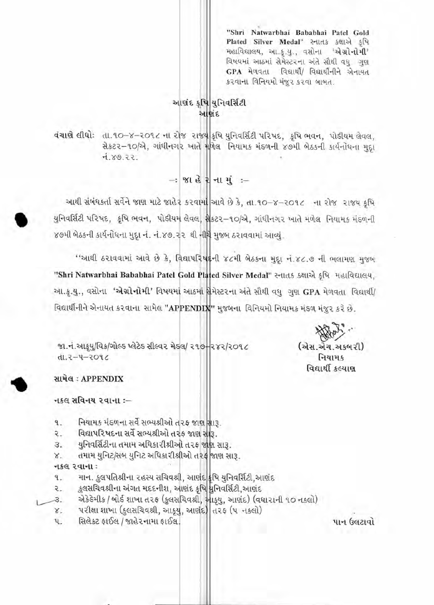"Shri Natwarbhai Bababhai Patel Gold Plated Silver Medal" સ્નાતક કક્ષાએ કૃષિ મહાવિદ્યાલય, આ.કૃ.યુ., વસોના 'એગ્રોનોમી' વિષયમાં આઠમાં સેમેસ્ટરના અંતે સૌથી વધુ ગુણ GPA મેળવતા વિદ્યાર્થી/ વિદ્યાર્થીનીને એનાયત કરવાના વિનિયમો મંજૂર કરવા બાબત.

## આશંદ કૃષિ યુનિવર્સિટી આશંદ

વંચાણે લીધો: તા.૧૦-૪-૨૦૧૮ ના રોજ રાજ્ય કૃષિ યુનિવર્સિટી પરિષદ, કૃષિ ભવન, પોડીયમ લેવલ, से sz - 10/2, गांधीनगर जाते गणिव नियाम भंडणनी ४७मी लेठ भी अर्थनोधना मुद्दा  $7.89.22.$ 

 $-$  % ા હે ? ના મું $-$ 

આથી સંબંધકર્તા સર્વેને જાણ માટે જાહેર કરવામાં આવે છે કે, તા.૧૦-૪-૨૦૧૮ ના રોજ રાજય કૃષિ યુનિવર્સિટી પરિષદ, કૃષિ ભવન, પોડીયમ લેવલ, મેક્ટર-૧૦/એ, ગાંધીનગર ખાતે મળેલ નિયામક મંડળની ૪૭મી બેઠકની કાર્યનોધના મુદ્દા નં. નં.૪૭.૨૨ થી નીચે મુજબ ઠરાવવામાં આવ્યું.

"આથી ઠરાવવામાં આવે છે કે, વિદ્યાપરિષદ્દની ૪૮મી બેઠકના મુદ્દા નં.૪૮.૭ ની ભલામણ મુજબ "Shri Natwarbhai Bababhai Patel Gold Plated Silver Medal" સ્નાતક કક્ષાએ કૃષિ મહાવિદ્યાલય. આ.કૃ.યુ., વસોના 'એગ્રોનોમી' વિષયમાં આઠમાં <mark>મે</mark>મેસ્ટરના અંતે સૌથી વધુ ગુણ GPA મેળવતા વિદ્યાર્થી/ વિદ્યાર્થીનીને એનાયત કરવાના સામેલ "APPENDIX" મુજબના વિનિયમો નિયામક મંડળ મંજૂર કરે છે.

(એસ.એચ.અકબરી) નિયામક વિદ્યાર્થી કલ્યાશ

જા.નં.આકુયુ/વિક/ગોલ્ડ પ્લેટેડ સીલ્વર મેડલ/ ૨૧૭+૨૪૨/૨૦૧૮ **dl.2-4-2096** 



નકલ સવિનય ૨વાના :–

- નિયામક મંડળના સર્વે સભ્યશ્રીઓ તરફ જાણ સારૂ. ٩.
- વિદ્યાપરિષદના સર્વે સભ્યશ્રીઓ તરફ જાણ સારૂ. ર.
- યુનિવર્સિટીના તમામ અધિકારીશ્રીઓ તરફ જાણ સારૂ. З.
- તમામ યુનિટ/સબ યુનિટ અધિકારીશ્રીઓ તરફ જાણ સારૂ. 8.

નકલ રવાના:

- માન. કુલપતિશ્રીના ૨હસ્ય સચિવશ્રી, આર્ણદ|કુષિ યુનિવર્સિટી,આર્ણદ 9.
- કુલસચિવશ્રીના અંગત મદદનીશ, આણંદ કૃષિ મુનિવર્સિટી,આણંદ 2.
- એકેકેમીક / બોર્ક શાખા ત૨ક (કુલસચિવશ્રી, આકૃયુ, આણંદ) (વધા૨ાની ૧૦ નકલો)  $\mathcal{B}_{\mathcal{A}}$ 
	- પરીક્ષા શાખા (કુલસચિવશ્રી, આકુયુ, આણંદ) તરફ (૫ નકલો)  $X -$
	- સિલેક્ટ ફાઈલ / જાહેરનામા ફાઈલ. ч.

પાન ઉલટાવો